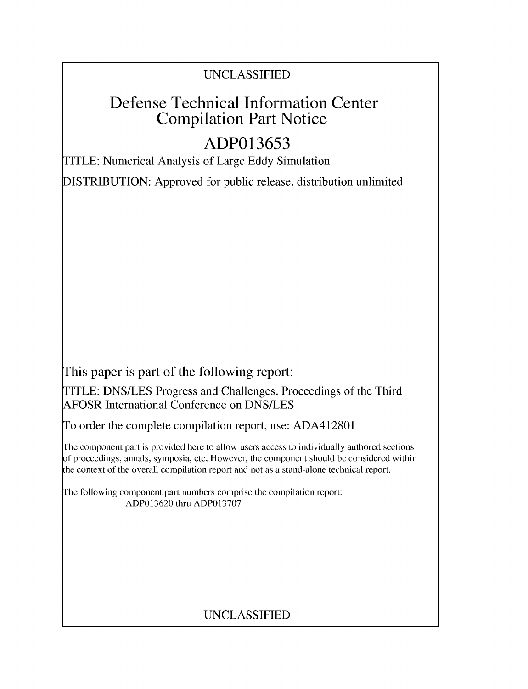## UNCLASSIFIED

# Defense Technical Information Center Compilation Part Notice

# **ADP013653**

TITLE: Numerical Analysis of Large Eddy Simulation

DISTRIBUTION: Approved for public release, distribution unlimited

This paper is part of the following report:

TITLE: DNS/LES Progress and Challenges. Proceedings of the Third AFOSR International Conference on DNS/LES

To order the complete compilation report, use: ADA412801

The component part is provided here to allow users access to individually authored sections f proceedings, annals, symposia, etc. However, the component should be considered within the context of the overall compilation report and not as a stand-alone technical report.

The following component part numbers comprise the compilation report: ADP013620 thru ADP013707

## UNCLASSIFIED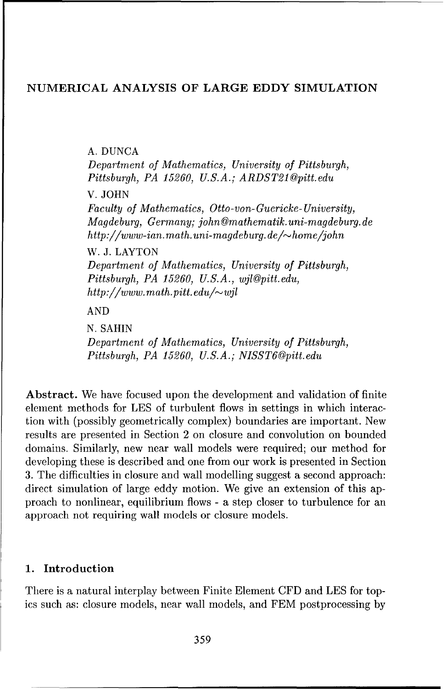### NUMERICAL ANALYSIS OF LARGE EDDY SIMULATION

**A.** DUNCA

*Department of Mathematics, University of Pittsburgh, Pittsburgh, PA 15260, U.S.A.; ARDST210pitt.edu*

V. JOHN

*Faculty of Mathematics, Otto-von-Guericke- University, Magdeburg,* Germany; john Omathematik. *uni-magdeburg. de http://www-ian.math.uni-magdeburg.de/~home/john* 

W. J. LAYTON

Department *of Mathematics, University of Pittsburgh, Pittsburgh, PA 15260, U.S.A., wjlgpitt.edu, http ://www. math.pitt, edu/-•wjl*

AND

N. SAHIN Department *of Mathematics, University of Pittsburgh, Pittsburgh, PA 15260, U.S.A.; NISST6@pitt.edu*

Abstract. We have focused upon the development and validation of finite element methods for LES of turbulent flows in settings in which interaction with (possibly geometrically complex) boundaries are important. New results are presented in Section 2 on closure and convolution on bounded domains. Similarly, new near wall models were required; our method for developing these is described and one from our work is presented in Section 3. The difficulties in closure and wall modelling suggest a second approach: direct simulation of large eddy motion. We give an extension of this approach to nonlinear, equilibrium flows - a step closer to turbulence for an approach not requiring wall models or closure models.

### 1. Introduction

There is a natural interplay between Finite Element CFD and LES for topics such as: closure models, near wall models, and FEM postprocessing by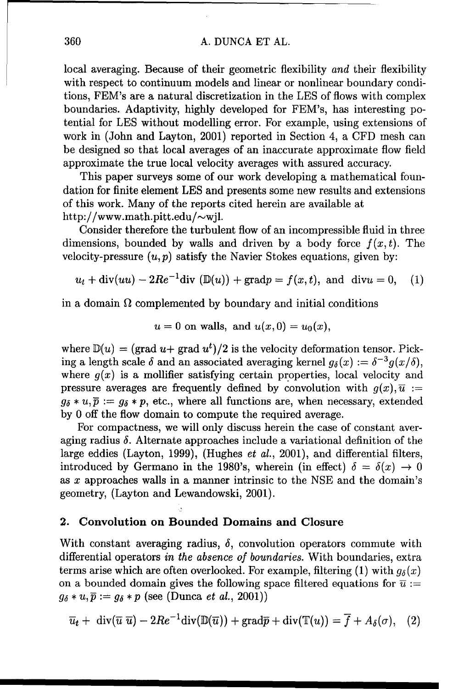#### 360 A. DUNCA ET AL.

local averaging. Because of their geometric flexibility and their flexibility with respect to continuum models and linear or nonlinear boundary conditions, FEM's are a natural discretization in the LES of flows with complex boundaries. Adaptivity, highly developed for FEM's, has interesting potential for LES without modelling error. For example, using extensions of work in (John and Layton, 2001) reported in Section 4, a CFD mesh can be designed so that local averages of an inaccurate approximate flow field approximate the true local velocity averages with assured accuracy.

This paper surveys some of our work developing a mathematical foundation for finite element LES and presents some new results and extensions of this work. Many of the reports cited herein are available at http://www.math.pitt.edu/ $\sim$ wjl.

Consider therefore the turbulent flow of an incompressible fluid in three dimensions, bounded by walls and driven by a body force  $f(x, t)$ . The velocity-pressure  $(u, p)$  satisfy the Navier Stokes equations, given by:

$$
u_t + \text{div}(uu) - 2Re^{-1}\text{div}(\mathbb{D}(u)) + \text{grad}p = f(x,t), \text{ and } \text{div}u = 0, \quad (1)
$$

in a domain  $\Omega$  complemented by boundary and initial conditions

$$
u = 0
$$
 on walls, and  $u(x, 0) = u_0(x)$ ,

where  $\mathbb{D}(u) = (\text{grad } u + \text{grad } u^t)/2$  is the velocity deformation tensor. Picking a length scale  $\delta$  and an associated averaging kernel  $g_{\delta}(x) := \delta^{-3} g(x/\delta)$ , where  $g(x)$  is a mollifier satisfying certain properties, local velocity and pressure averages are frequently defined by convolution with  $g(x),\overline{u} :=$  $g_{\delta} * u, \overline{p} := g_{\delta} * p$ , etc., where all functions are, when necessary, extended by 0 off the flow domain to compute the required average.

For compactness, we will only discuss herein the case of constant averaging radius  $\delta$ . Alternate approaches include a variational definition of the large eddies (Layton, 1999), (Hughes *et al.*, 2001), and differential filters, introduced by Germano in the 1980's, wherein (in effect)  $\delta = \delta(x) \to 0$ as x approaches walls in a manner intrinsic to the NSE and the domain's geometry, (Layton and Lewandowski, 2001).

#### 2. Convolution on Bounded Domains and Closure

With constant averaging radius,  $\delta$ , convolution operators commute with differential operators in *the absence of* boundaries. With boundaries, extra terms arise which are often overlooked. For example, filtering (1) with  $q_{\delta}(x)$ on a bounded domain gives the following space filtered equations for  $\bar{u}$  :=  $g_{\delta} * u, \overline{p} := g_{\delta} * p$  (see (Dunca *et al.*, 2001))

$$
\overline{u}_t + \operatorname{div}(\overline{u} \ \overline{u}) - 2Re^{-1}\operatorname{div}(\mathbb{D}(\overline{u})) + \operatorname{grad}\overline{p} + \operatorname{div}(\mathbb{T}(u)) = \overline{f} + A_\delta(\sigma), \quad (2)
$$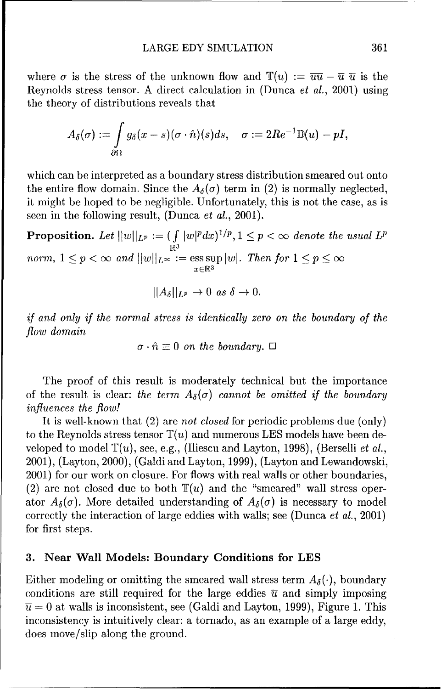where  $\sigma$  is the stress of the unknown flow and  $\mathbb{T}(u) := \overline{uu} - \overline{u} \ \overline{u}$  is the Reynolds stress tensor. A direct calculation in (Dunca et al., 2001) using the theory of distributions reveals that

$$
A_\delta(\sigma):=\int\limits_{\partial\Omega}g_\delta(x-s)(\sigma\cdot\hat{n})(s)ds,\quad \sigma:=2Re^{-1}\mathbb{D}(u)-pI,
$$

which can be interpreted as a boundary stress distribution smeared out onto the entire flow domain. Since the  $A_{\delta}(\sigma)$  term in (2) is normally neglected, it might be hoped to be negligible. Unfortunately, this is not the case, as is seen in the following result, (Dunca *et al.*, 2001).

**Proposition.** Let  $||w||_{L^p} := (\int |w|^p dx)^{1/p}, 1 \leq p < \infty$  denote the usual  $L^p$ .<br>R<sup>3</sup>  ${norm, 1 \le p < \infty}$  and  $||w||_{L^{\infty}} := \text{ess}\sup |w|$ . Then for  $1 \le p \le \infty$  $x \in \mathbb{R}^3$ 

$$
||A_{\delta}||_{L^{p}} \to 0 \text{ as } \delta \to 0.
$$

*if* and only *if the normal stress is identically* zero *on* the *boundary of the flow* domain

 $\sigma \cdot \hat{n} \equiv 0$  on the boundary.  $\Box$ 

The proof of this result is moderately technical but the importance of the result is clear: the term  $A_{\delta}(\sigma)$  cannot be omitted if the boundary influences *the flow!*

It is well-known that (2) are not *closed* for periodic problems due (only) to the Reynolds stress tensor  $\mathbb{T}(u)$  and numerous LES models have been developed to model  $\mathbb{T}(u)$ , see, e.g., (Iliescu and Layton, 1998), (Berselli et al., 2001), (Layton, 2000), (Galdi and Layton, 1999), (Layton and Lewandowski, 2001) for our work on closure. For flows with real walls or other boundaries, (2) are not closed due to both  $\mathbb{T}(u)$  and the "smeared" wall stress operator  $A_{\delta}(\sigma)$ . More detailed understanding of  $A_{\delta}(\sigma)$  is necessary to model correctly the interaction of large eddies with walls; see (Dunca *et* al., 2001) for first steps.

#### **3.** Near Wall Models: Boundary Conditions for **LES**

Either modeling or omitting the smeared wall stress term  $A_{\delta}(\cdot)$ , boundary conditions are still required for the large eddies  $\bar{u}$  and simply imposing  $\overline{u} = 0$  at walls is inconsistent, see (Galdi and Layton, 1999), Figure 1. This inconsistency is intuitively clear: a tornado, as an example of a large eddy, does move/slip along the ground.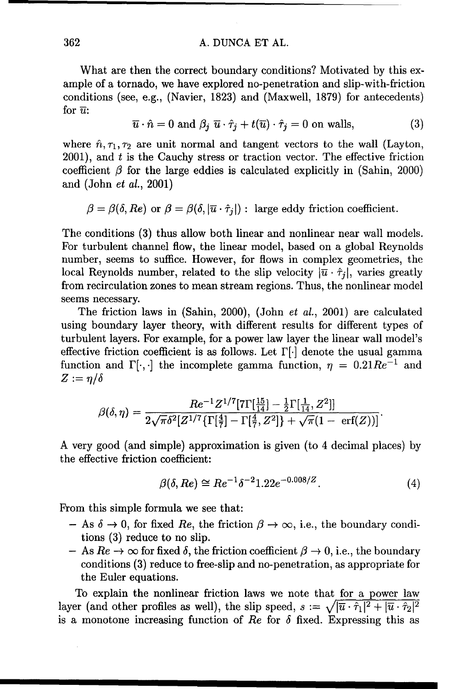#### 362 A. DUNCA ET AL.

What are then the correct boundary conditions? Motivated by this example of a tornado, we have explored no-penetration and slip-with-friction conditions (see, e.g., (Navier, 1823) and (Maxwell, 1879) for antecedents) for  $\overline{u}$ :

$$
\overline{u} \cdot \hat{n} = 0 \text{ and } \beta_i \overline{u} \cdot \hat{r}_j + t(\overline{u}) \cdot \hat{r}_j = 0 \text{ on walls}, \tag{3}
$$

where  $\hat{n}, \tau_1, \tau_2$  are unit normal and tangent vectors to the wall (Layton,  $2001$ , and  $t$  is the Cauchy stress or traction vector. The effective friction coefficient  $\beta$  for the large eddies is calculated explicitly in (Sahin, 2000) and (John et al., 2001)

 $\beta = \beta(\delta, Re)$  or  $\beta = \beta(\delta, |\overline{u} \cdot \hat{\tau}_i|)$ : large eddy friction coefficient.

The conditions (3) thus allow both linear and nonlinear near wall models. For turbulent channel flow, the linear model, based on a global Reynolds number, seems to suffice. However, for flows in complex geometries, the local Reynolds number, related to the slip velocity  $|\bar{u} \cdot \hat{\tau}_j|$ , varies greatly from recirculation zones to mean stream regions. Thus, the nonlinear model seems necessary.

The friction laws in (Sahin, 2000), (John et al., 2001) are calculated using boundary layer theory, with different results for different types of turbulent layers. For example, for a power law layer the linear wall model's effective friction coefficient is as follows. Let  $\Gamma[\cdot]$  denote the usual gamma function and  $\Gamma[\cdot, \cdot]$  the incomplete gamma function,  $\eta = 0.21Re^{-1}$  and  $Z := \eta/\delta$ 

$$
\beta(\delta,\eta) = \frac{Re^{-1}Z^{1/7}[\text{7}\Gamma[\frac{15}{14}]-\frac{1}{2}\Gamma[\frac{1}{14},Z^2]]}{2\sqrt{\pi}\delta^2[Z^{1/7}\{\Gamma[\frac{4}{7}]-\Gamma[\frac{4}{7},Z^2]\}+\sqrt{\pi}(1-\text{ erf}(Z))]}
$$

A very good (and simple) approximation is given (to 4 decimal places) by the effective friction coefficient:

$$
\beta(\delta, Re) \cong Re^{-1} \delta^{-2} 1.22 e^{-0.008/Z}.
$$
 (4)

From this simple formula we see that:

- $-$  As  $\delta \rightarrow 0$ , for fixed Re, the friction  $\beta \rightarrow \infty$ , i.e., the boundary conditions (3) reduce to no slip.
- $-$  As  $Re \rightarrow \infty$  for fixed  $\delta$ , the friction coefficient  $\beta \rightarrow 0$ , i.e., the boundary conditions (3) reduce to free-slip and no-penetration, as appropriate for the Euler equations.

To explain the nonlinear friction laws we note that for a power law layer (and other profiles as well), the slip speed,  $s := \sqrt{|\bar{u} \cdot \hat{\tau}_1|^2 + |\bar{u} \cdot \hat{\tau}_2|^2}$ is a monotone increasing function of  $Re$  for  $\delta$  fixed. Expressing this as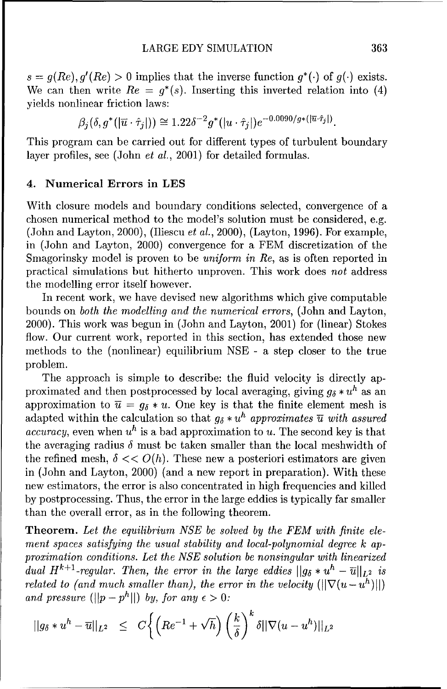$s = q(Re), q'(Re) > 0$  implies that the inverse function  $q^*(\cdot)$  of  $q(\cdot)$  exists. We can then write  $Re = q^*(s)$ . Inserting this inverted relation into (4) yields nonlinear friction laws:

$$
\beta_i(\delta, g^*([\overline{u} \cdot \hat{\tau}_i])) \cong 1.22\delta^{-2}g^*([u \cdot \hat{\tau}_i])e^{-0.0090/g*([\overline{u} \cdot \hat{\tau}_j])}.
$$

This program can be carried out for different types of turbulent boundary layer profiles, see (John *et al.*, 2001) for detailed formulas.

#### 4. Numerical Errors in LES

With closure models and boundary conditions selected, convergence of a chosen numerical method to the model's solution must be considered, e.g. (John and Layton, 2000), (Iliescu et al., 2000), (Layton, 1996). For example, in (John and Layton, 2000) convergence for a FEM discretization of the Smagorinsky model is proven to be *uniform in Re*, as is often reported in practical simulations but hitherto unproven. This work does not address the modelling error itself however.

In recent work, we have devised new algorithms which give computable bounds on *both the* modelling and the numerical errors, (John and Layton, 2000). This work was begun in (John and Layton, 2001) for (linear) Stokes flow. Our current work, reported in this section, has extended those new methods to the (nonlinear) equilibrium NSE - a step closer to the true problem.

The approach is simple to describe: the fluid velocity is directly approximated and then postprocessed by local averaging, giving  $g_{\delta} * u^h$  as an approximation to  $\overline{u} = g_{\delta} * u$ . One key is that the finite element mesh is adapted within the calculation so that  $g_{\delta} * u^h$  approximates  $\overline{u}$  with assured *accuracy*, even when  $u^h$  is a bad approximation to u. The second key is that the averaging radius  $\delta$  must be taken smaller than the local meshwidth of the refined mesh,  $\delta \ll O(h)$ . These new a posteriori estimators are given in (John and Layton, 2000) (and a new report in preparation). With these new estimators, the error is also concentrated in high frequencies and killed by postprocessing. Thus, the error in the large eddies is typically far smaller than the overall error, as in the following theorem.

Theorem. *Let the* equilibrium *NSE be solved by the FEM with* finite element *spaces satisfying the usual stability* and *local-polynomial degree k* ap*proximation conditions. Let the NSE solution be* nonsingular with linearized dual  $H^{k+1}$ -regular. Then, the error in the large eddies  $||g_{\delta} * u^{h} - \overline{u}||_{L^{2}}$  is *related to (and much smaller than), the error in the velocity*  $(|\nabla(u - u^h)|)$ and pressure  $(||p - p^h||)$  by, for any  $\epsilon > 0$ :

$$
||g_{\delta} * u^{h} - \overline{u}||_{L^{2}} \leq C \bigg\{ \left( Re^{-1} + \sqrt{h} \right) \left( \frac{k}{\delta} \right)^{k} \delta ||\nabla (u - u^{h})||_{L^{2}}
$$